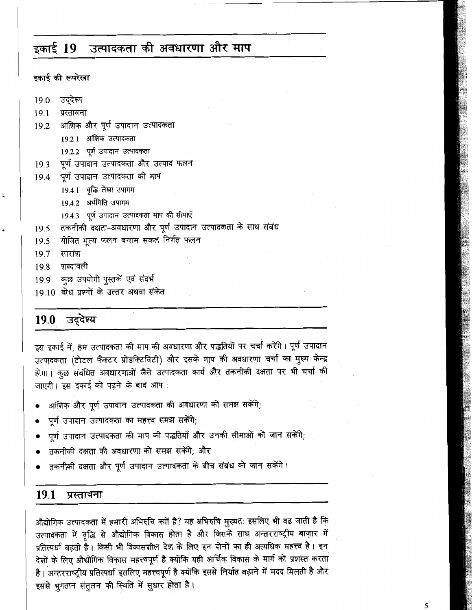### उत्पादकता की अवधारणा और माप इकाई 19

इकाई की रूपरेखा

- उद्देश्य 19.0
- $19.1$ प्रस्तावना
- 19.2 आंशिक और पूर्ण उपादान उत्पादकता
	- 19.2.1 आंशिक उत्पादकता
	- 19.2.2 पूर्ण उपादान उत्पादकता
- 19.3 पूर्ण उपादान उत्पादकता और उत्पाद फलन
- 19.4 पूर्ण उपादान उत्पादकता की माप
	- 19.4.1 वृद्धि लेखा उपागम
	- 19.4.2 अर्थमिति उपागम
	- 19.4.3 पूर्ण उपादान उत्पादकता माप की सीमाएँ
- तकनीकी दक्षता-अवधारणा और पूर्ण उपादान उत्पादकता के साथ संबंध 19.5
- योजित मूल्य फलन बनाम सकल निर्गत फलन  $19.5$
- सारांश  $19.7$
- 19.8 शब्दावली
- 19.9 कुछ उपयोगी पुस्तकें एवं संदर्भ
- 19.10 बोध प्रश्नों के उत्तर अथवा संकेत

# 19.0 उद्देश्य

इस इकाई में, हम उत्पादकता की माप की अवधारणा और पद्धतियों पर चर्चा करेंगे। पूर्ण उपादान उत्पादकता (टोटल फैक्टर प्रोडक्टिविटी) और इसके माप की अवधारणा चर्चा का मुख्य केन्द्र होगा। कुछ संबंधित अवधारणाओं जैसे उत्पादकता कार्य और तकनीकी दक्षता पर भी चर्चा की जाएगी। इस इकाई को पढने के बाद आप:

- आंशिक और पूर्ण उपादान उत्पादकता की अवधारणा को समझ सकेंगे;
- पूर्ण उपादान उत्पादकता का महत्त्व समझ सकेंगे;
- पूर्ण उपादान उत्पादकता की माप की पद्धतियाँ और उनकी सीमाओं को जान सकेंगे;
- तकनीकी दक्षता की अवधारणा को समझ सकेंगे; और
- तकनीकी दक्षता और पूर्ण उपादान उत्पादकता के बीच संबंध को जान सकेंगे।

#### 19.1 प्रस्तावना

औद्योगिक उत्पादकता में हमारी अभिरुचि क्यों है? यह अभिरुचि मुख्यत: इसलिए भी बढ़ जाती है कि उत्पादकता में वृद्धि से औद्योगिक विकास होता है और जिसके साथ अन्तरराष्ट्रीय बाज़ार में प्रतिस्पर्धा बढ़ती है। किसी भी विकासशील देश के लिए इन दोनों का ही अत्यधिक महत्त्व है। इन देशों के लिए औद्योगिक विकास महत्त्वपूर्ण है क्योंकि यही आर्थिक विकास के मार्ग को प्रशस्त करता है। अन्तरराष्ट्रीय प्रतिस्पर्धा इसलिए महत्त्वपूर्ण है क्योंकि इससे निर्यात बढ़ाने में मदद मिलती है और इससे भुगतान संतुलन की स्थिति में सुधार होता है।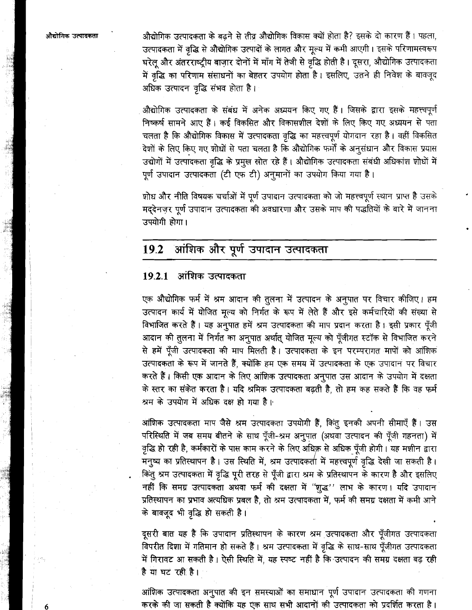औद्योगिक उत्पादकता

औद्योगिक उत्पादकता के बढने से तीव्र औद्योगिक विकास क्यों होता है? इसके दो कारण हैं। पहला, उत्पादकता में वृद्धि से औद्योगिक उत्पादों के लागत और मूल्य में कमी आएगी। इसके परिणामस्वरूप घरेलू और अंतरराष्ट्रीय बाजार दोनों में माँग में तेजी से वृद्धि होती है। दूसरा, औद्योगिक उत्पादकता में वृद्धि का परिणाम संसाधनों का बेहतर उपयोग होता है। इसलिए, उतने ही निवेश के बावजूद अधिक उत्पादन वृद्धि संभव होता है।

औद्योगिक उत्पादकता के संबंध में अनेक अध्ययन किए गए हैं। जिसके द्वारा इसके महत्त्वपूर्ण निष्कर्ष सामने आए हैं। कई विकसित और विकासशील देशों के लिए किए गए अध्ययन से पता चलता है कि औद्योगिक विकास में उत्पादकता वृद्धि का महत्त्वपूर्ण योगदान रहा है। वहीं विकसित देशों के लिए किए गए शोधों से पता चलता है कि औद्योगिक फर्मों के अनूसंधान और विकास प्रयास उद्योगों में उत्पादकता वृद्धि के प्रमुख स्रोत रहे हैं। औद्योगिक उत्पादकता संबंधी अधिकांश शोधों में पूर्ण उपादान उत्पादकता (टी एफ टी) अनुमानों का उपयोग किया गया है।

शोध और नीति विषयक चर्चाओं में पूर्ण उपादान उत्पादकता को जो महत्त्वपूर्ण स्थान प्राप्त है उसके मद्देनज़र पूर्ण उपादान उत्पादकता की अवधारणा और उसके माप की पद्धतियों के बारे में जानना उपयोगी होगा।

#### आंशिक और पूर्ण उपादान उत्पादकता 19.2

# 19.2.1 आंशिक उत्पादकता

एक औद्योगिक फर्म में श्रम आदान की तुलना में उत्पादन के अनुपात पर विचार कीजिए। हम उत्पादन कार्य में योजित मृल्य को निर्गत के रूप में लेते हैं और इसे कर्मचारियों की संख्या से विभाजित करते हैं। यह अनुपात हमें श्रम उत्पादकता की माप प्रदान करता है। इसी प्रकार पूँजी आदान की तुलना में निर्गत का अनुपात अर्थात् योजित मूल्य को पूँजीगत स्टॉक से विभाजित करने से हमें पूँजी उत्पादकता की माप मिलती है। उत्पादकता के इन परम्परागत मापों को आंशिक उत्पादकता के रूप में जानते हैं, क्योंकि हम एक समय में उत्पादकता के एक उपादान पर विचार करते हैं। किसी एक आदान के लिए आंशिक उत्पादकता अनुपात उस आदान के उपयोग में दक्षता के स्तर का संकेत करता है। यदि श्रमिक उत्पादकता बढ़ती है, तो हम कह सकते हैं कि वह फर्म श्रम के उपयोग में अधिक दक्ष हो गया है।

आंशिक उत्पादकता माप जैसे श्रम उत्पादकता उपयोगी हैं, किंतु इनकी अपनी सीमाएँ हैं। उस परिस्थिति में जब समय बीतने के साथ पूँजी-श्रम अनुपात (अथवा उत्पादन की पूँजी गहनता) में वृद्धि हो रही है, कर्मकारों के पास काम करने के लिए अधिक्र से अधिक पूँजी होगी। यह मशीन द्वारा मनुष्य का प्रतिस्थापन है। उस स्थिति में, श्रम उत्पादकर्ता में महत्त्वपूर्ण वृद्धि देखी जा सकती है। किंतु श्रम उत्पादकता में वृद्धि पूरी तरह से पूँजी द्वारा श्रम के प्रतिस्थापन के कारण है और इसलिए नहीं कि समग्र उत्पादकता अथवा फर्म की दक्षता में "शुद्ध" लाभ के कारण। यदि उपादान प्रतिस्थापन का प्रभाव अत्यधिक प्रबल है, तो श्रम उत्पादकता में, फर्म की समग्र दक्षता में कमी आने के बावजूद भी वृद्धि हो सकती है।

दूसरी बात यह है कि उपादान प्रतिस्थापन के कारण श्रम उत्पादकता और पूँजीगत उत्पादकता विपरीत दिशा में गतिमान हो सकते हैं। श्रम उत्पादकता में वृद्धि के साथ-साथ पूँजीगत उत्पादकता में गिरावट आ सकती है। ऐसी स्थिति में, यह स्पष्ट नहीं है कि उत्पादन की समग्र दक्षता बढ़ रही है या घट रही है।

आंशिक उत्पादकता अनुपात की इन समस्याओं का समाधान पूर्ण उपादान उत्पादकता की गणना करके की जा सकती है क्योंकि यह एक साथ सभी आदानों की उत्पादकता को प्रदर्शित करता है।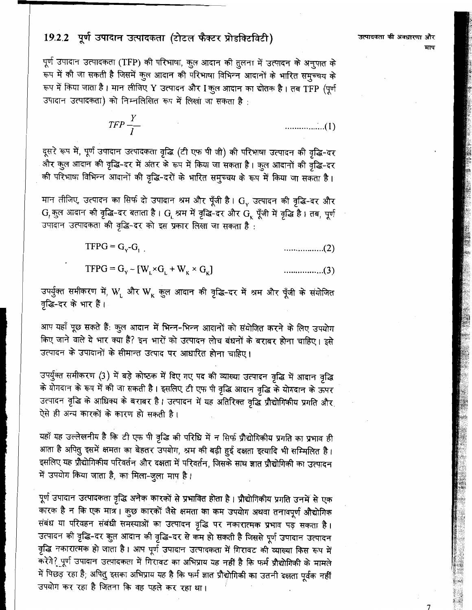# 19.2.2 पूर्ण उपादान उत्पादकता (टोटल फैक्टर प्रोडक्टिविटी)

पूर्ण उपादान उत्पादकता (TFP) की परिभाषा, कुल आदान की तुलना में उत्पादन के अनुपात के .<br>रूप में की जा सकती है जिसमें कुल आदान की परिभाषा विभिन्न आदानों के भारित समुच्चय के रूप में किया जाता है। मान लीजिए Y उत्पादन और I कुल आदान का द्योतक है। तब TFP (पूर्ण .<br>उपादान उत्पादकता) को निम्नलिखित रूप में लिखा जा सकता है <sup>.</sup>

> $TFP\frac{Y}{I}$

दूसरे रूप में, पूर्ण उपादान उत्पादकता वृद्धि (टी एफ पी जी) की परिभाषा उत्पादन की वृद्धि-दर और कुल आदान की वृद्धि-दर में अंतर के रूप में किया जा सकता है। कुल आदानों की वृद्धि-दर की परिभाषा विभिन्न आदानों की वृद्धि-दरों के भारित समुच्चय के रूप में किया जा सकता है।

मान लीजिए, उत्पादन का सिर्फ दो उपादान श्रम और पूँजी है।  $\mathrm{G}_{_{\mathrm{Y}}}$  उत्पादन की वृद्धि-दर और  $\rm G$ , कुल आदान की वृद्धि-दर बताता है।  $\rm G_c$  श्रम में वृद्धि-दर और  $\rm G_\kappa$  पूँजी में वृद्धि है। तब, पूर्ण उपादान उत्पादकता की वृद्धि-दर को इस प्रकार लिखा जा सकता है :

> $TFPG = G_v-G_{v}$

> $TFPG = G_v - [W_L \times G_L + W_K \times G_K]$

उपर्युक्त समीकरण में, W, और W<sub>K</sub> कुल आदान की वृद्धि-दर में श्रम और पूँजी के संयोजित वृद्धि-दर के भार हैं।

आप यहाँ पूछ सकते हैं: कुल आदान में भिन्न-भिन्न आदानों को संयोजित करने के लिए उपयोग किए जाने वाले ये भार क्या हैं? इन भारों को उत्पादन लोच बंधनों के बराबर होना चाहिए। इसे उत्पादन के उपादानों के सीमान्त उत्पाद पर आधारित होना चाहिए।

उपर्युक्त समीकरण (3) में बड़े कोष्ठक में दिए गए पद की व्याख्या उत्पादन वृद्धि में आदान वृद्धि के योगदान के रूप में की जा सकती है। इसलिए टी एफ पी वृद्धि आदान वृद्धि के योगदान के ऊपर उत्पादन वृद्धि के आधिक्य के बराबर है। उत्पादन में यह अतिरिक्त वृद्धि प्रौद्योगिकीय प्रगति और ऐसे ही अन्य कारकों के कारण हो सकती है।

यहाँ यह उल्लेखनीय है कि टी एफ पी वृद्धि की परिधि में न सिर्फ प्रौद्योगिकीय प्रगति का प्रभाव ही आता है अपितु इसमें क्षमता का बेहतर उपयोग, श्रम की बढ़ी हुई दक्षता इत्यादि भी सम्मिलित है। इसलिए यह प्रौद्योगिकीय परिवर्तन और दक्षता में परिवर्तन, जिसके साथ ज्ञात प्रौद्योगिकी का उत्पादन में उपयोग किया जाता है, का मिला-जुला माप है।

पूर्ण उपादान उत्पादकता वृद्धि अनेक कारकों से प्रभावित होता है। प्रौद्योगिकीय प्रगति उनमें से एक कारक है न कि एक मात्र। कुछ कारकों जैसे क्षमता का कम उपयोग अथवा तनावपूर्ण औद्योगिक संबंध या परिवहन संबंधी समस्याओं का उत्पादन वृद्धि पर नकारात्मक प्रभाव पड़ सकता है। उत्पादन की वृद्धि-दर कुल आदान की वृद्धि-दर से कम हो सकती है जिससे पूर्ण उपादान उत्पादन वृद्धि नकारात्मक हो जाता है। आप पूर्ण उपादान उत्पादकता में गिरावट की व्याख्या किस रूप में करेंगे? पूर्ण उपादान उत्पादकता में गिरावट का अभिप्राय यह नहीं है कि फर्म प्रौद्योगिकी के मामले में पिछड़ रहा है; अपितु इसका अभिप्राय यह है कि फर्म ज्ञात प्रौद्योगिकी का उतनी दक्षता पूर्वक नहीं उपयोग कर रहा है जितना कि वह पहले कर रहा था।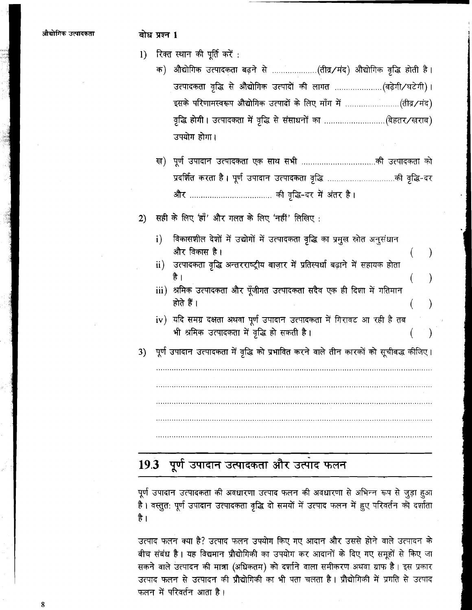### बोध प्रश्न 1

- $1)$  रिक्त स्थान की पूर्ति करें :
	- क) औद्योगिक उत्पादकता बढ़ने से ....................(तीव्र/मंद) औद्योगिक वृद्धि होती है। उपयोग होगा।
	- प्रदर्शित करता है। पूर्ण उपादान उत्पादकता वृद्धि ...................................की वृद्धि-दर
- सही के लिए 'हाँ' और गलत के लिए 'नहीं' लिखिए:  $2)$ 
	- i) विकासशील देशों में उद्योगों में उत्पादकता वृद्धि का प्रमुख स्रोत अनुसंधान और विकास है।
	- ii) उत्पादकता वृद्धि अन्तरराष्ट्रीय बाज़ार में प्रतिस्पर्धा बढ़ाने में सहायक होता है ।
	- iii) श्रमिक उत्पादकता और पूँजीगत उत्पादकता सदैव एक ही दिशा में गतिमान होते हैं ।
	- iv) यदि समग्र दक्षता अथवा पूर्ण उपादान उत्पादकता में गिरावट आ रही है तब भी श्रमिक उत्पादकता में वृद्धि हो सकती है।
- पूर्ण उपादान उत्पादकता में वृद्धि को प्रभावित करने वाले तीन कारकों को सूचीबद्ध कीजिए।  $3)$

# 19.3 पूर्ण उपादान उत्पादकता और उत्पाद फलन

पूर्ण उपादान उत्पादकता की अवधारणा उत्पाद फलन की अवधारणा से अभिन्न रूप से जुड़ा हुआ है। वस्तुत: पूर्ण उपादान उत्पादकता वृद्धि दो समयों में उत्पाद फलन में हुए परिवर्तन को दर्शाता है ।

उत्पाद फलन क्या है? उत्पाद फलन उपयोग किए गए आदान और उससे होने वाले उत्पादन के बीच संबंध है। यह विद्यमान प्रौद्योगिकी का उपयोग कर आदानों के दिए गए समुहों से किए जा सकने वाले उत्पादन की मात्रा (अधिकतम) को दर्शाने वाला समीकरण अथवा ग्राफ है। इस प्रकार उत्पाद फलन से उत्पादन की प्रौद्योगिकी का भी पता चलता है। प्रौद्योगिकी में प्रगति से उत्पाद फलन में परिवर्तन आता है।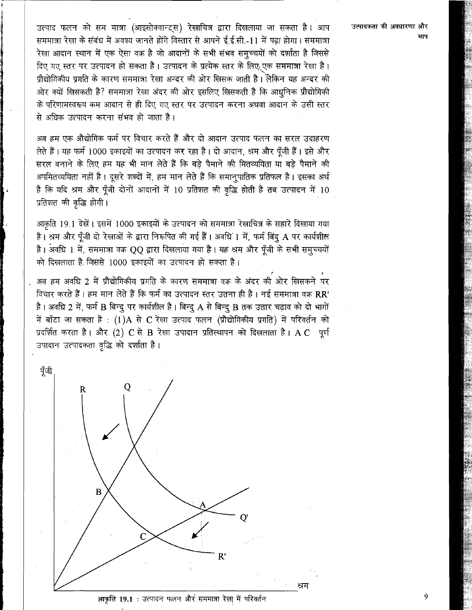उत्पाद फलन को सम मात्रा (आइसोक्वान्ट्स) रेखाचित्र द्वारा दिखलाया जा सकता है। आप सममात्रा रेखा के संबंध में अवश्य जानते होंगे विस्तार से आपने ई.ई.सी.-11 में पढ़ा होगा। सममात्रा रेखा आदान स्थान में एक ऐसा वक्र है जो आदानों के सभी संभव समच्चयों को दर्शाता है जिससे दिए गए स्तर पर उत्पादन हो सकता है। उत्पादन के प्रत्येक स्तर के लिए एक सममात्रा रेखा है। पौद्योगिकीय प्रगति के कारण सममात्रा रेखा अन्दर की ओर खिसक जाती है। लेकिन यह अन्दर की ओर क्यों खिसकती है? सममात्रा रेखा अंदर की ओर इसलिए खिसकती है कि आधनिक प्रौद्योगिकी के परिणामस्वरूप कम आदान से ही दिए गए स्तर पर उत्पादन करना अथवा आदान के उसी स्तर से अधिक उत्पादन करना संभव हो जाता है।

अब हम एक औद्योगिक फर्म पर विचार करते हैं और दो आदान उत्पाद फलन का सरल उदाहरण लेते हैं। यह फर्म 1000 इकाइयों का उत्पादन कर रहा है। दो आदान, श्रम और पुँजी हैं। इसे और सरल बनाने के लिए हम यह भी मान लेते हैं कि बड़े पैमाने की मितव्ययिता या बड़े पैमाने की अपमितव्ययिता नहीं है। दूसरे शब्दों में, हम मान लेते हैं कि समानपातिक प्रतिफल है। इसका अर्थ है कि यदि श्रम और पूँजी दोनों आदानों में 10 प्रतिशत की वृद्धि होती है तब उत्पादन में 10 प्रतिशत की वृद्धि होगी।

आकृति 19.1 देखें। इसमें 1000 इकाइयों के उत्पादन को सममात्रा रेखाचित्र के सहारे दिखाया गया है। श्रम और पूँजी दो रेखाओं के द्वारा निरूपित की गई हैं। अवधि 1 में, फर्म बिंद A पर कार्यशील है। अवधि 1 में, सममात्रा वक़ OO द्वारा दिखलाया गया है। यह श्रम और पँजी के सभी समच्चयों को दिखलाता है जिससे 1000 इकाइयों का उत्पादन हो सकता है।

.<br>अब हम अवधि 2 में प्रौद्योगिकीय प्रगति के कारण सममात्रा वक्र के अंदर की ओर खिसकने पर विचार करते हैं। हम मान लेते हैं कि फर्म का उत्पादन स्तर उतना ही है। नई सममात्रा वक्र RR' है। अवधि 2 में, फर्म B बिन्दु पर कार्यशील है। बिन्दु A से बिन्दु B तक उतार चढ़ाव को दो भागों में बाँटा जा सकता है : (1)A से C रेखा उत्पाद फलन (प्रौद्योगिकीय प्रगति) में परिवर्तन को प्रदर्शित करता है। और (2) C से B रेखा उपादान प्रतिस्थापन को दिखलाता है। A C पूर्ण उपादान उत्पादकता वृद्धि को दर्शाता है।



उत्पादकता की अवधारणा और

आकृति 19.1 : उत्पादन फलन और सममात्रा रेखा में परिवर्तन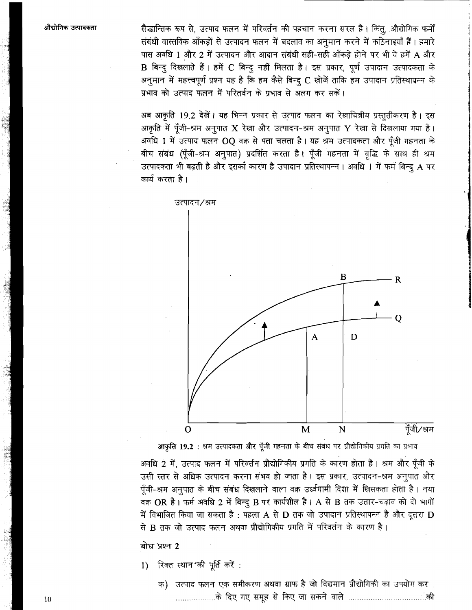औद्योगिक उत्पादकता

सैद्धान्तिक रूप से, उत्पाद फलन में परिवर्तन की पहचान करना सरल है। किंतु, औद्योगिक फर्मों संबंधी वास्तविक आँकड़ों से उत्पादन फलन में बदलाव का अनुमान करने में कठिनाइयाँ हैं। हमारे पास अवधि 1 और 2 में उत्पादन और आदान संबंधी सही-सही आँकड़े होने पर भी ये हमें A और B बिन्दू दिखलाते हैं। हमें C बिन्दू नहीं मिलता है। इस प्रकार, पूर्ण उपादान उत्पादकता के अनूमान में महत्त्वपूर्ण प्रश्न यह है कि हम कैसे बिन्दू C खोजें ताकि हम उपादान प्रतिस्थापन्न के प्रभाव को उत्पाद फलन में परितर्वन के प्रभाव से अलग कर सकें।

अब आकृति 19.2 देखें। यह भिन्न प्रकार से उत्पाद फलन का रेखाचित्रीय प्रस्तुतीकरण है। इस आकृति में पूँजी-श्रम अनूपात X रेखा और उत्पादन-श्रम अनूपात Y रेखा से दिखलाया गया है। अवधि 1 में उत्पाद फलन OQ वक्र से पता चलता है। यह श्रम उत्पादकता और पूँजी गहनता के बीच संबंध (पूँजी-श्रम अनुपात) प्रदर्शित करता है। पूँजी गहनता में वृद्धि के साथ ही श्रम उत्पादकता भी बढ़ती है और इसका कारण है उपादान प्रतिस्थापन्न। अवधि 1 में फर्म बिन्दु A पर कार्य करता है।



आकृति 19.2 : श्रम उत्पादकता और पूँजी गहनता के बीच संबंध पर प्रौद्योगिकीय प्रगति का प्रभाव

अवधि 2 में, उत्पाद फलन में परिवर्तन प्रौद्योगिकीय प्रगति के कारण होता है। श्रम और पूँजी के उसी स्तर से अधिक उत्पादन करना संभव हो जाता है। इस प्रकार, उत्पादन-श्रम अनूपात और पूँजी-श्रम अनुपात के बीच संबंध दिखलाने वाला वक्र उर्ध्वगामी दिशा में खिसकता होता है। नया वक्र OR है। फर्म अवधि 2 में बिन्दु B पर कार्यशील है। A से B तक उतार-चढ़ाव को दो भागों में विभाजित किया जा सकता है : पहला A से D तक जो उपादान प्रतिस्थापन्न है और दूसरा D से B तक जो उत्पाद फलन अथवा प्रौद्योगिकीय प्रगति में परिवर्तन के कारण है।

बोध प्रश्न 2

- रिक्त स्थान की पूर्ति करें :  $\mathbf{I}$ 
	- क) उत्पाद फलन एक समीकरण अथवा ग्राफ है जो विद्यमान प्रौद्योगिकी का उपयोग कर .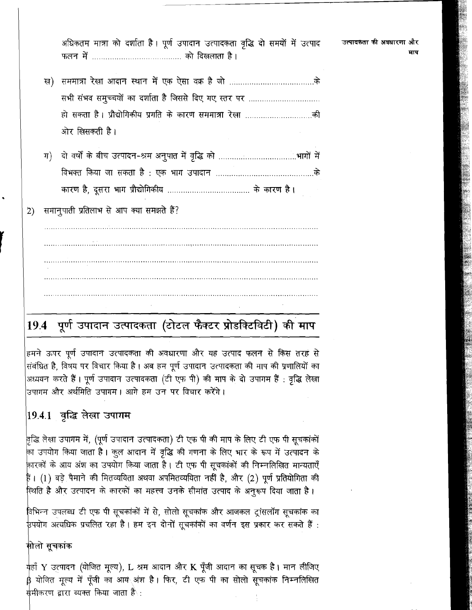अधिकतम मात्रा को दर्शाता है। पूर्ण उपादान उत्पादकता वृद्धि दो समयों में उत्पाद 

- सभी संभव समूच्चयों का दर्शाता है जिससे दिए गए स्तर पर ................................ ओर लिसकती है।
- 

समानुपाती प्रतिलाभ से आप क्या समझते हैं?  $2)$ 

# 19.4 पूर्ण उपादान उत्पादकता (टोटल फैक्टर प्रोडक्टिविटी) की माप

हमने ऊपर पूर्ण उपादान उत्पादकता की अवधारणा और यह उत्पाद फलन से किस तरह से संबंधित है, विषय पर विचार किया है। अब हम पूर्ण उपादान उत्पादकता की माप की प्रणालियों का अध्ययन करते हैं। पूर्ण उपादान उत्पादकता (टी एफ पी) की माप के दो उपागम हैं : वृद्धि लेखा उपागम और अर्थमिति उपागम। आगे हम उन पर विचार <mark>करेंगे</mark>।

# $|19.4.1\rangle$  वृद्धि लेखा उपागम

वृद्धि लेखा उपागम में, (पूर्ण उपादान उत्पादकता) टी एफ पी की माप के लिए टी एफ पी सूचकांकों का उपयोग किया जाता है। कूल आदान में वृद्धि की गणना के लिए भार के रूप में उत्पादन के कारकों के आय अंश का उपयोग किया जाता है। टी एफ पी सूचकांकों की निम्नलिखित मान्यताएँ हैं। (1) बड़े पैमाने की मितव्ययिता अथवा अपमितव्ययिता नहीं है, और (2) पूर्ण प्रतियोगिता की स्थिति है और उत्पादन के कारकों का महत्त्व उनके सीमांत उत्पाद के अनुरूप दिया जाता है।

विभिन्न उपलब्ध टी एफ पी सूचकांकों में से, सोलो सूचकांक और आजकल ट्रांसलॉग सूचकांक का ु है इसके अत्यधिक प्रचलित रहा है। हम इन दोनों सूचकांकों का वर्णन इस प्रकार कर सकते हैं :

## मोलो सूचकांक

क्हाँ Y उत्पादन (योजित मूल्य), L श्रम आदान और K पूँजी आदान का सूचक है। मान लीजिए β योजित मूल्य में पूँजी का आय<sub>े</sub>अंश है। फिर, टी एफ पी का सोलो सूचकांक निम्नलिखित समीकरण द्वारा व्यक्त किया जाता हैै :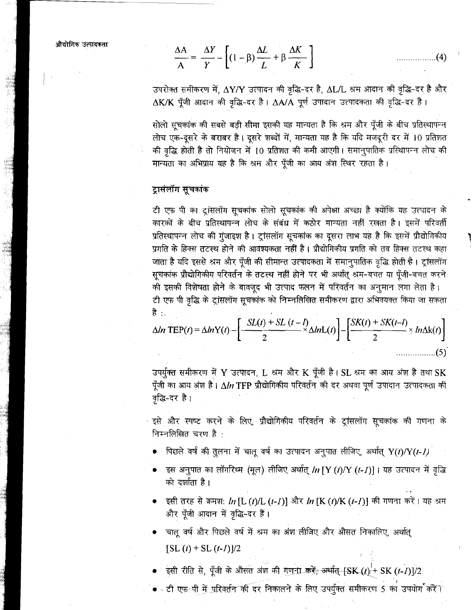औद्योगिक उंत्पादकता

$$
\frac{\Delta A}{A} = \frac{\Delta Y}{Y} - \left[ (1 - \beta) \frac{\Delta L}{L} + \beta \frac{\Delta K}{K} \right]
$$
 (4)

उपरोक्त समीकरण में, ∆Y/Y उत्पादन की वृद्धि-दर है, ∆L/L श्रम आदान की वृद्धि-दर है और  $\Delta$ K/K पूँजी आदान की वृद्धि-दर है।  $\Delta$ A/A पूर्ण उपादान उत्पादकता की वृद्धि-दर है।

सोलो सूचकांक की सबसे बड़ी सीमा इसकी यह मान्यता है कि श्रम और पूँजी के बीच प्रतिस्थापन्न लोच एक-दूसरे के बराबर है। दूसरे शब्दों में, मान्यता यह है कि यदि मजदूरी दर में 10 प्रतिशत की वृद्धि होती है तो नियोजन में 10 प्रतिशत की कमी आएगी। समानुपातिक प्रस्थिापन्न लोच की मान्यता का अभिप्राय यह है कि श्रम और पूँजी का आय अंश स्थिर रहता है।

### ट्रासंलॉग सूचकांक

टी एफ पी का ट्रांसलॉग सूचकांक सोलो सूचकांक की अपेक्षा अच्छा है क्योंकि यह उत्पादन के कारकों के बीच प्रतिस्थापन्न लोच के संबंध में कठोर मान्यता नहीं रखता है। इसमें परिवर्ती प्रतिस्थापन्न लोच की गुंजाइश है। ट्रांसलॉग सूचकांक का दूसरा लाभ यह है कि इसमें प्रौद्योगिकीय प्रगति के हिक्स तटस्थ होने की आवश्यकता नहीं है। प्रौद्योगिकीय प्रगति को तब हिक्स तटस्थ कहा जाता है यदि इससे श्रम और पूँजी की सीमान्त उत्पादकता में समानुपातिक वृद्धि होती है। ट्रांसलॉग सूचकांक प्रौद्योगिकीय परिवर्तन के तटस्थ नहीं होने पर भी अर्थात् श्रम-बचत या पूँजी-बचत करने की इसकी विशेषता होने के बावजूद भी उत्पाद फलन में परिवर्तन का अनुमान लगा लेता है। टी एफ पी वृद्धि के ट्रांसलॉग सूचकांक को निम्नलिखित समीकरण द्वारा अभिवयक्त किया जा सकता है : .

$$
\Delta ln \text{ TEP}(t) = \Delta ln Y(t) - \left[ \frac{SL(t) + SL(t - t)}{2} \Delta ln L(t) \right] - \left[ \frac{SK(t) + SK(t - t)}{2} \times ln \Delta k(t) \right]
$$
\n(5)

उपर्युक्त समीकरण में Y उत्पादन, L श्रम और K पूँजी है। SL श्रम का आय अंश है तथा SK पूँजी का आय अंश है।  $\Delta ln$  TFP प्रौद्योगिकीय परिवर्तन की दर अथवा पूर्ण उपादान उत्पादकता की वृद्धि-दर है।

्इसे और स्पष्ट करने के लिए, प्रौद्योगिकीय परिवर्तन के ट्रांसलॉग सूचकांक की गणना के निम्नलिखित चरण है:

- पिछले वर्ष की तुलना में चालू वर्ष का उत्पादन अनुपात लीजिए, अर्थात्  $Y(t)/Y(t-1)$
- इस अनुपात का लॉगरिथ्म (मूल) लीजिए अर्थात् In [Y (t)/Y (t-1)]। यह उत्पादन में वृद्धि को दर्शाता है।
- इसी तरह से क्रमश: In [L (t)/L (t-1)] और In [K (t)/K (t-1)] की गणना करें। यह श्रम और पूँजी आदान में वृद्धि-दर हैं।
- ्चालू वर्ष और पिछले वर्ष में श्रम का अंश लीजिए और औसत निकालिए, अर्थात्  $[SL(t) + SL(t-1)]/2$
- ंइसी रीति से, पूँजी के औसत अंश की गुणना <del>करें, अर्थात् [SK (t).'+</del> SK (t-1)]/2
- ∝ टी एफ<sub>ैं</sub>पी <u>में परि</u>वर्तन की दर निकालने के लिए उपर्युक्त समीकरण 5 का उपयोग करें ।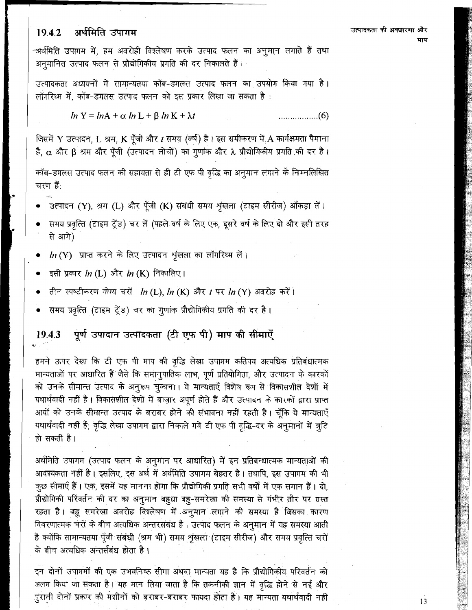#### अर्थमिति उपागम 1942

-अर्थमिति उपागम में, हम अवरोही विश्लेषण करके उत्पाद फलन का अनूमान लगाते हैं तथा अनुमानित उत्पाद फलन से प्रौद्योगिकीय प्रगति की दर निकालते हैं।

उत्पादकता अध्ययनों में सामान्यतया कॉब-डगलस उत्पाद फलन का उपयोग किया गया है। लॉगरिथ्म में. कॉब-डगलस उत्पाद फलन को इस प्रकार लिखा जा सकता है:

$$
ln Y = lnA + \alpha ln L + \beta ln K + \lambda t
$$
 (6)

जिसमें Y उत्पादन, L श्रम, K पूँजी और t समय (वर्ष) है। इस समीकरण में, A कार्यक्षमता पैमाना है, α और β श्रम और पूँजी (उत्पादन लोचों) का गुणांक और λ प्रौद्योगिकीय प्रगति की दर है।

कॉब-डगलस उत्पाद फलन की सहायता से ही टी एफ पी वृद्धि का अनुमान लगाने के निम्नलिखित चरण हैं:

- उत्पादन (Y), श्रम (L) और पूँजी (K) संबंधी समय श्रृंखला (टाइम सीरीज) आँकड़ा लें।
- समय प्रवृत्ति (टाइम ट्रेंड) चर लें (पहले वर्ष के लिए एक, दूसरे वर्ष के लिए दो और इसी तरह से आगे)
- $ln(Y)$  प्राप्त करने के लिए उत्पादन शृंखला का लॉगरिथ्म लें।
- इसी प्रकार  $\ln$  (L) और  $\ln$  (K) निकालिए।
- तीन स्पष्टीकरण योग्य चरों In(L), In(K) और t पर In(Y) अवरोह करें।
- समय प्रवृत्ति (टाइम ट्रेंड) चर का गुणांक प्रौद्योगिकीय प्रगति की दर है।

#### पूर्ण उपादान उत्पादकता (टी एफ पी) माप की सीमाएँ 19.4.3

हमने ऊपर देखा कि टी एफ पी माप की वृद्धि लेखा उपागम कतिपय अत्यधिक प्रतिबंधात्मक मान्यताओं पर आधारित हैं जैसे कि समानुपातिक लाभ, पूर्ण प्रतियोगिता, और उत्पादन के कारकों को उनके सीमान्त उत्पाद के अनुरूप चुकाना। ये मान्यताएँ विशेष रूप से विकासशील देशों में यथार्थवादी नहीं है। विकासशील देशों में बाज़ार अपूर्ण होते हैं और उत्पादन के कारकों द्वारा प्राप्त आयों को उनके सीमान्त उत्पाद के बराबर होने की संभावना नहीं रहती है। चूँकि ये मान्यताएँ यथार्थवादी नहीं हैं; वृद्धि लेखा उपागम द्वारा निकाले गये टी एफ पी वृद्धि-दर के अनुमानों में त्रुटि हो सकती है।

अर्थमिति उपागम (उत्पाद फलन के अनुमान पर आधारित) में इन प्रतिबन्धात्मक मान्यताओं की आवश्यकता नहीं है। इसलिए, इस अर्थ में अर्थमिति उपागम बेहतर है। तथापि, इस उपागम की भी कुछ सीमाएँ हैं। एक, इसमें यह मानना होगा कि प्रौद्योगिकी प्रगति सभी वर्षों में एक समान हैं। दो, प्रौद्योगिकी परिवर्तन की दर का अनुमान बहुधा बहु-समरेखा की समस्या से गंभीर तौर पर ग्रस्त रहता है। बहु समरेखा अवरोह विश्लेषण में अनुमान लगाने की समस्या है जिसका कारण विवरणात्मक चरों के बीच अत्यधिक अन्तरसंबंध है। उत्पाद फलन के अनुमान में यह समस्या आती है क्योंकि सामान्यतया पूँजी संबंधी (श्रम भी) समय शृंखला (टाइम सीरीज) और समय प्रवृत्ति चरों के बीच अत्यधिक अन्तर्संबंध होता है।

इन दोनों उपागमों की एक उभयनिष्ठ सीमा अथवा मान्यता यह है कि प्रौद्योगिकीय परिवर्तन को अलग किया जा सकता है। यह मान लिया जाता है कि तकनीकी ज्ञान में वृद्धि होने से नई और पुरानी दोनों प्रकार की मशीनों को बराबर-बराबर फायदा होता है। यह मान्यता यथार्थवादी नहीं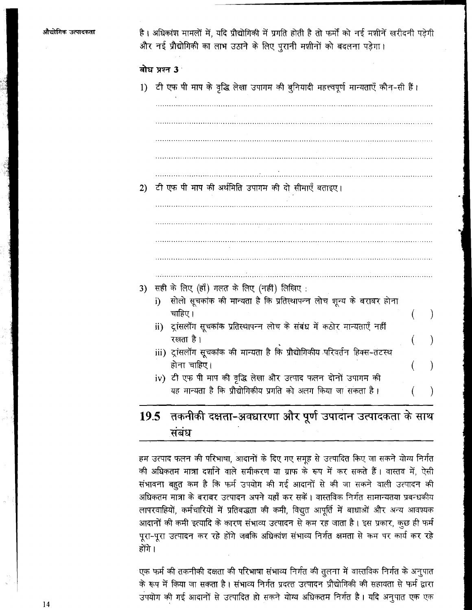|  | है। अधिकांश मामलों में, यदि प्रौद्योगिकी में प्रगति होती है तो फर्मों को नई मशीनें खरीदनी पड़ेगी |  |  |  |  |  |  |
|--|--------------------------------------------------------------------------------------------------|--|--|--|--|--|--|
|  | और नई प्रौद्योगिकी का लाभ उठाने के लिए पुरानी मशीनों को बदलना पड़ेगा।                            |  |  |  |  |  |  |

बोध पश्न 3

1) टी एफ पी माप के वृद्धि लेखा उपागम की बुनियादी महत्त्वपूर्ण मान्यताएँ कौन-सी हैं।

टी एफ पी माप की अर्थमिति उपागम की दो सीमाएँ बताइए।  $2)$ 

- 
- 3) सही के लिए (हाँ) गलत के लिए (नहीं) लिखिए :
	- i) सोलो सूचकांक की मान्यता है कि प्रतिस्थापन्न लोच शून्य के बराबर होना चाहिए।
	- ii) ट्रांसलॉग सूचकांक प्रतिस्थापन्न लोच के संबंध में कठोर मान्यताएँ नहीं रखता है।
	- iii) ट्रांसलॉग सूचकांक की मान्यता है कि प्रौद्योगिकीय परिवर्तन हिक्स-तटस्थ होना चाहिए।
	- iv) टी एफ पी माप की वृद्धि लेखा और उत्पाद फलन दोनों उपागम की यह मान्यता है कि प्रौद्योगिकीय प्रगति को अलग किया जा सकता है।

# 19.5 तकनीकी दक्षता-अवधारणा और पूर्ण उपादान उत्पादकता के साथ संबंध

हम उत्पाद फलन की परिभाषा, आदानों के दिए गए समूह से उत्पादित किए जा सकने योग्य निर्गत की अधिकतम मात्रा दर्शाने वाले समीकरण या ग्राफ के रूप में कर सकते हैं। वास्तव में, ऐसी संभावना बहुत कम है कि फर्म उपयोग की गई आदानों से की जा सकने वाली उत्पादन की अधिकतम मात्रा के बराबर उत्पादन अपने यहाँ कर सकें। वास्तविक निर्गत सामान्यतया प्रबन्धकीय लापरवाहियों, कर्मचारियों में प्रतिबद्धता की कमी, विद्युत आपूर्ति में बाधाओं और अन्य आवश्यक आदानों की कमी इत्यादि के कारण संभाव्य उत्पादन से कम रह जाता है। इस प्रकार, कुछ ही फर्म पुरा-पुरा उत्पादन कर रहे होंगे जबकि अधिकांश संभाव्य निर्गत क्षमता से कम पर कार्य कर रहे होंगे ।

एक फर्म की तकनीकी दक्षता की परिभाषा संभाव्य निर्गत की तुलना में वास्तविक निर्गत के अनुपात के रूप में किया जा सकता है। संभाव्य निर्गत प्रदत्त उत्पादन प्रौद्योगिकी की सहायता से फर्म द्वारा उपयोग की गई आदानों से उत्पादित हो सकने योग्य अधिकतम निर्गत है। यदि अनुपात एक एक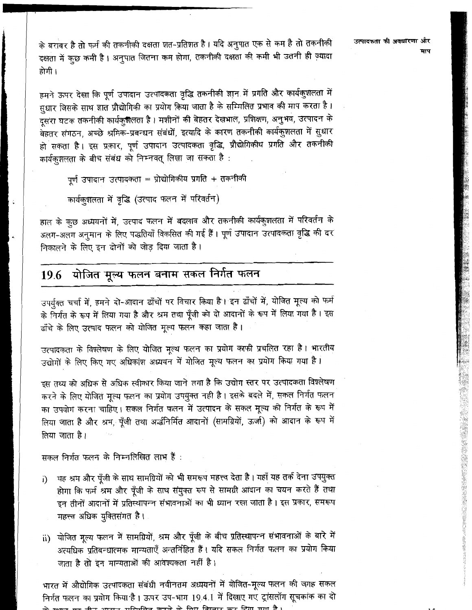के बराबर है तो फर्म की तकनीकी दक्षता शत-प्रतिशत है। यदि अनुपात एक से कम है तो तकनीकी दक्षता में कुछ कमी है। अनुपात जितना कम होगा, तकनीकी दक्षता की कमी भी उतनी ही ज़्यादा होगी ।

हमने ऊपर देखा कि पूर्ण उपादान उत्पादकता वृद्धि तकनीकी ज्ञान में प्रगति और कार्यकुशलता में सुधार जिसके साथ ज्ञात प्रौद्योगिकी का प्रयोग किया जाता है के सम्मिलित प्रभाव की माप करता है। दूसरा घटक तकनीकी कार्यकुशैलता है। मशीनों की बेहतर देखभाल, प्रशिक्षण, अनुभव, उत्पादन के बेहतर संगठन, अच्छे श्रमिक-प्रबन्धन संबंधों, इत्यादि के कारण तकनीकी कार्यकुशलता में सुधार हो सकता है। इस प्रकार, पूर्ण उपादान उत्पादकता वृद्धि, प्रौद्योगिकीय प्रगति और तकनीकी कार्यकुशलता के बीच संबंध को निम्नवत् लिखा जा सकता है:

```
पूर्ण उपादान उत्पादकता = प्रोद्योगिकीय प्रगति + तकनीकी
```

```
कार्यकृशलता में वृद्धि (उत्पाद फलन में परिवर्तन)
```
हाल के कुछ अध्ययनों में, उत्पाद फलन में बदलाव और तकनीकी कार्यकुशलता में परिवर्तन के अलग-अलग अनुमान के लिए पद्धतियाँ विकसित की गई हैं। पूर्ण उपादान उत्पादकता वृद्धि की दर निकालने के लिए इन दोनों को जोड़ दिया जाता है।

### योजित मूल्य फलन बनाम सकल निर्गत फलन 19.6

उपर्युक्त चर्चा में, हमने दो-आदान ढाँचों पर विचार किया है। इन ढाँचों में, योजित मूल्य को फर्म के निर्गत के रूप में लिया गया है और श्रम तथा पूँजी को दो आदानों के रूप में लिया गया है। इस ढाँचे के लिए उत्पाद फलन को योजित मूल्य फलन कहा जाता है।

उत्पादकता के विश्लेषण के लिए योजित मूल्य फलन का प्रयोग काफी प्रचलित रहा है। भारतीय उद्योगों के लिए किए गए अधिकांश अध्ययन में योजित मूल्य फलन का प्रयोग किया गया है।

इस तथ्य को अधिक से अधिक स्वीकार किया जाने लगा है कि उद्योग स्तर पर उत्पादकता विश्लेषण करने के लिए योजित मूल्य फलन का प्रयोग उपयुक्त नही है। इसके बदले में, सकल निर्गत फलन का उपयोग करना चाहिए। सकल निर्गत फलन में उत्पादन के सकल मूल्य को निर्गत के रूप में लिया जाता है और श्रम, पूँजी तथा अर्द्धनिर्मित आदानों (सामग्रियों, ऊर्जा) को आदान के रूप में लिया जाता है।

सकल निर्गत फलन के निम्नलिखित लाभ हैं :

- यह श्रम और पूँजी के साथ सामग्रियों को भी समरूप महत्त्व देता है। यहाँ यह तर्क देना उपयुक्त i) होगा कि फर्म श्रम और पूँजी के साथ संयुक्त रूप से सामग्री आदान का चयन करते हैं तथा इन तीनों आदानों में प्रतिस्थापन्न संभावनाओं का भी ध्यान रखा जाता है। इस प्रकार, समरूप महत्त्व अधिक युक्तिसंगत है।
- ii) योजित मूल्य फलन में सामग्रियों, श्रम और पूँजी के बीच प्रतिस्थापन्न संभावनाओं के बारे में अत्यधिक प्रतिबन्धात्मक मान्यताएँ अन्तर्निहित हैं। यदि सकल निर्गत फलन का प्रयोग किया जाता है तो इन मान्यताओं की आवश्यकता नहीं है।

भारत में औद्योगिक उत्पादकता संबंधी नवीनतम अध्ययनों में योजित-मूल्य फलन की जगह सकल निर्गत फलन का प्रयोग किया है। ऊपर उप-भाग 19.4.1 में दिखाए गए ट्रांसलॉग सूचकांक का दो  $+\theta$  are  $\theta$  and  $\theta$  and  $\theta$  are  $\theta$  and  $\theta$  are  $\theta$  and  $\theta$  and  $\theta$  and  $\theta$  and  $\theta$  and  $\theta$  and  $\theta$  and  $\theta$  and  $\theta$  and  $\theta$  and  $\theta$  and  $\theta$  and  $\theta$  and  $\theta$  and  $\theta$  and  $\theta$  and  $\theta$  and  $\theta$  and  $\theta$ 

उत्पादकता की अवधारणा और माप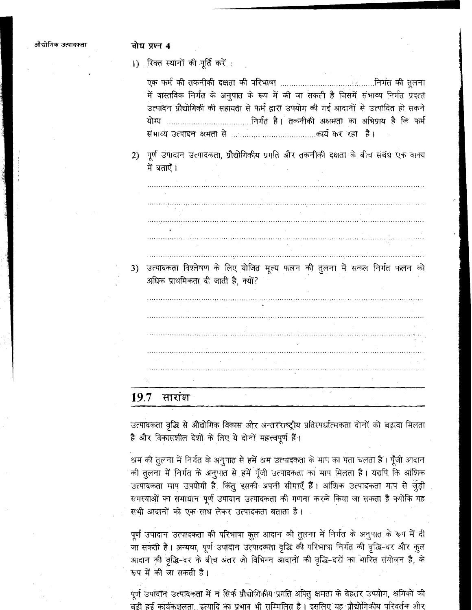### बोध प्रश्न 4

1) रिक्त स्थानों की पूर्ति करें :

| में वास्तविक निर्गत के अनुपात के रूप में की जा सकती है जिसमें संभाव्य निर्गत प्रदत्त |  |
|--------------------------------------------------------------------------------------|--|
| उत्पादन प्रौद्योगिकी की सहायता से फर्म द्वारा उपयोग की गई आदानों से उत्पादित हो सकने |  |
|                                                                                      |  |
|                                                                                      |  |

2) पूर्ण उपादान उत्पादकता, प्रौद्योगिकीय प्रगति और तकनीकी दक्षता के बीच संबंध एक वाक्य में बताएँ।

3) उत्पादकता विश्लेषण के लिए योजित मूल्य फलन की तुलना में सकल निर्गत फलन को अधिक प्राथमिकता दी जाती है, क्यों?

#### 19.7 सारांश

उत्पादकता वृद्धि से औद्योगिक विकास और अन्तरराष्ट्रीय प्रतिस्पर्धात्मकता दोनों को बढ़ावा मिलता है और विकासशील देशों के लिए ये दोनों महत्त्वपूर्ण हैं।

श्रम की तुलना में निर्गत के अनुपात से हमें श्रम उत्पादकता के माप का पता चलता है। पूँजी आदान की तुलना में निर्गत के अनुपात से हमें पूँजी उत्पादकता का माप मिलता है। यद्यपि कि आंशिक उत्पादकता माप उपयोगी है, किंतु इसकी अपनी सीमाएँ हैं। आंशिक उत्पादकता माप से जुड़ी समस्याओं का समाधान पूर्ण उपादान उत्पादकता की गणना करके किया जा सकता है क्योंकि यह सभी आदानों को एक साथ लेकर उत्पादकता बताता है।

पूर्ण उपादान उत्पादकता की परिभाषा कुल आदान की तुलना में निर्गत के अनुपात के रूप में दी जा सकती है। अन्यथा, पूर्ण उपादान उत्पादकता वृद्धि की परिभाषा निर्गत की वृद्धि-दर और कुल आदान की वृद्धि-दर के बीच अंतर जो विभिन्न आदानों की वृद्धि-दरों का भारित संयोजन है, के रूप में की जा सकती है।

पूर्ण उपादान उत्पादकता में न सिर्फ प्रौद्योगिकीय प्रगति अपितु क्षमता के बेहतर उपयोग, श्रमिकों की बढी हुई कार्यकशलता. इत्यादि का प्रभाव भी सम्मिलित है । इसलिए यह प्रौद्योगिकीय परिवर्तन और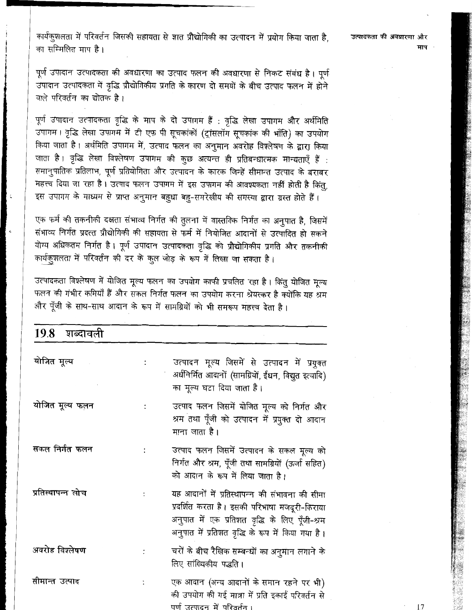कार्यकुशलता में परिवर्तन जिसकी सहायता से ज्ञात प्रौद्योगिकी का उत्पादन में प्रयोग किया जाता है, का सम्मिलित माप है।

उत्पादकता की अवधारणा और

पूर्ण उपादान उत्पादकता की अवधारणा का उत्पाद फलन की अवधारणा से निकट संबंध है। पूर्ण उपादान उत्पादकता में वृद्धि प्रौद्योगिकीय प्रगति के कारण दो समयों के बीच उत्पाद फलन में होने वाले परिवर्तन का द्योतक है।

पूर्ण उपादान उत्पादकता वृद्धि के माप के दो उपागम हैं : वृद्धि लेखा उपागम और अर्थमिति ्<br>उपागम। वृद्धि लेखा उपागम में टी एफ पी सूचकांकों (ट्रांसलॉग सूचकांक की भाँति) का उपयोग किया जाता है। अर्थमिति उपागम में, उत्पाद फलन का अनुमान अवरोह विश्लेषण के द्वारा किया जाता है। वृद्धि लेखा विश्लेषण उपागम की कुछ अत्यन्त ही प्रतिबन्धात्मक मान्यताएँ हैं : समानुपातिक प्रतिलाभ, पूर्ण प्रतियोगिता और उत्पादन के कारक जिन्हें सीमान्त उत्पाद के बराबर महत्त्व दिया जा रहा है। उत्पाद फलन उपागम में इस उपागम की आवश्यकता नहीं होती है किंतु, इस उपागम के माध्यम से प्राप्त अनुमान बहुधा बहु-समरेखीय की समस्या द्वारा ग्रस्त होते हैं।

एक फर्म की तकनीकी दक्षता संभाव्य निर्गत की तुलना में वास्तविक निर्गत का अनुपात है, जिसमें संभाव्य निर्गत प्रदत्त प्रौद्योगिकी की सहायता से फर्म में नियोजित आदानों से उत्पादित हो सकने योग्य अधिकतम निर्गत है। पूर्ण उपादान उत्पादकता वृद्धि को प्रौद्योगिकीय प्रगति और तकनीकी कार्यकुशलता में परिवर्तन की दर के कुल जोड़ के रूप में लिखा जा सकता है।

उत्पादकता विश्लेषण में योजित मूल्य फलन का उपयोग काफी प्रचलित रहा है। किंतु योजित मूल्य फलन की गंभीर कमियाँ हैं और सकल निर्गत फलन का उपयोग करना श्रेयस्कर है क्योंकि यह श्रम और पूँजी के साथ-साथ आदान के रूप में सामग्रियों को भी समरूप महत्त्व देता है।

| 19.8 शब्दावली     |                                                                                                                                                                                                        |
|-------------------|--------------------------------------------------------------------------------------------------------------------------------------------------------------------------------------------------------|
| योजित मूल्य       | उत्पादन मूल्य जिसमें से उत्पादन में प्रयुक्त<br>अर्धनिर्मित आदानों (सामग्रियों, ईंधन, विद्युत इत्यादि)<br>का मूल्य घटा दिया जाता है।                                                                   |
| योजित मूल्य फलन   | उत्पाद फलन जिसमें योजित मूल्य को निर्गत और<br>श्रम तथा पूँजी को उत्पादन में प्रयुक्त दो आदान<br>माना जाता है।                                                                                          |
| सकल निर्गत फलन    | उत्पाद फलन जिसमें उत्पादन के सकल मूल्य को<br>निर्गत और श्रम, पूँजी तथा सामग्रियों (ऊर्जा सहित)<br>को आदान के रूप में लिया जाता है।                                                                     |
| प्रतिस्थापन्न लोच | यह आदानों में प्रतिस्थापन्न की संभावना की सीमा<br>प्रदर्शित करता है। इसकी परिभाषा मजदूरी-किराया<br>अनुपात में एक प्रतिशत वृद्धि के लिए पूँजी-श्रम<br>अनुपात में प्रतिशत वृद्धि के रूप में किया गया है। |
| अवरोह विश्लेषण    | चरों के बीच रैखिक सम्बन्धों का अनुमान लगाने के<br>लिए सांख्यिकीय पद्धति।                                                                                                                               |
| सीमान्त उत्पाद    | एक आदान (अन्य आदानों के समान रहने पर भी)<br>की उपयोग की गई मात्रा में प्रति इकाई परिवर्तन से<br>पर्ण उत्पादन में परिवर्तन ।                                                                            |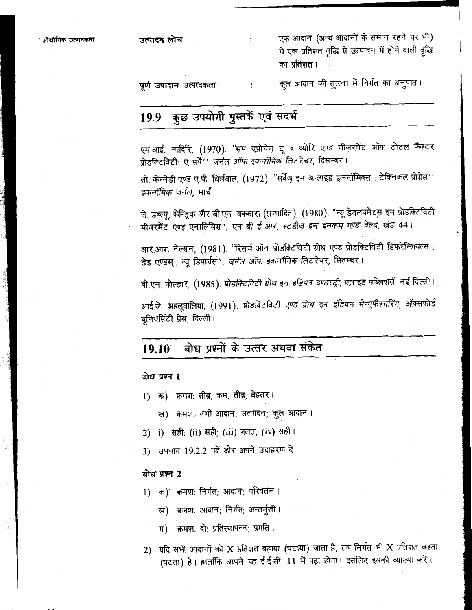एक आदान (अन्य आदानों के समान रहने पर भी) में एक प्रतिशत वृद्धि से उत्पादन में होने वाली वृद्धि का प्रतिशत।

कुल आदान की तुलना में निर्गत का अनुपात। पर्ण उपादान उत्पादकता  $\cdot$ 

 $\mathbf{r}$ 

# 19.9 कुछ उपयोगी पुस्तकें एवं संदर्भ

एम.आई. नादिरि, (1970). ''सम एप्रोचेज़ टू द थ्योरि एण्ड मीज़रमेंट ऑफ टोटल फैक्टर प्रोडक्टिविटी: ए सर्वे'' जर्नल ऑफ इकनॉमिक लिटरेचर, दिसम्बर।

सी. केन्नेडी एण्ड ए.पी. थिर्लवाल, (1972). ''सर्वेज़ इन अप्लाइड इकनॉमिक्स : टेक्निकल प्रोग्रेस'' *इकनॉमिक जर्नल,* मार्च

जे. डब्ल्यू, केन्ड्रिक और बी.एन. वक्कारा (सम्पादित), (1980). "न्यू डेवलपमेंट्स इन प्रोडक्टिविटी मीजरमेंट एण्ड एनालिसिस", एन बी ई आर, स्टडीज़ इन इनकम एण्ड वेल्थ, खंड 44।

आर.आर. नेल्सन, (1981). ''रिसर्च ऑन प्रोडक्टिविटी ग्रोथ एण्ड प्रोडक्टिविटी डिफरेन्शियल्स : डेड एण्डस् , न्यू डिपार्चर्स", जर्नल ऑफ इकनॉमिक लिटरेचर, सितम्बर।

बी.एन. गोल्डार, (1985). *प्रोडक्टिविटी ग्रोथ इन इडियन इण्डस्ट्री,* एलाइड पब्लिशर्स, नई दिल्ली।

आई.जे. अहलूवालिया, (1991). प्रोडक्टिविटी एण्ड ग्रोथ इन इंडियन मैन्यूफैक्चरिंग, ऑक्सफोर्ड यनिवर्सिटी प्रेस, दिल्ली।

#### बोध पश्नों के उत्तर अथवा संकेत 19.10

बोध प्रश्न 1

- 1) क) क्रमश: तीव्र, कम, तीव्र, बेहतर।
	- ख) क्रमशः सभी आदान; उत्पादन; कुल आदान।
- 2) i) सही; (ii) सही; (iii) गलत; (iv) सही ।
- 3) उपभाग 19.2.2 पढ़ें और अपने उदाहरण दें।

### बोध प्रश्न 2

- 1) क) क्रमशः निर्गत; आदान; परिवर्तन ।
	- ख) क्रमशः आदान; निर्गत; अन्तर्मूखी ।
	- ग) क्रमश: दो: प्रतिस्थापन्न; प्रगति ।
- 2) यदि सभी आदानों को X प्रतिशत बढ़ाया (घटाया) जाता है, तब निर्गत भी X प्रतिशत बढ़ता (घटता) है। हालाँकि आपने यह ई.ई.सी.-11 में पढ़ा होगा। इसलिए इसकी व्याख्या करें।